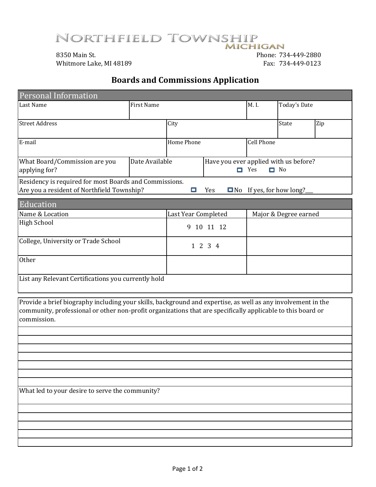NORTHFIELD TOWNSHIP **MICHIGAN** 

8350 Main St. Phone: 734-449-2880 Whitmore Lake, MI 48189 Fax: 734-449-0123

# **Boards and Commissions Application**

| Personal Information                                                                                                                                                                                                                       |                   |                     |      |                     |                                                    |     |  |
|--------------------------------------------------------------------------------------------------------------------------------------------------------------------------------------------------------------------------------------------|-------------------|---------------------|------|---------------------|----------------------------------------------------|-----|--|
| Last Name                                                                                                                                                                                                                                  | <b>First Name</b> |                     | M.I. | <b>Today's Date</b> |                                                    |     |  |
| <b>Street Address</b>                                                                                                                                                                                                                      |                   | City                |      |                     | <b>State</b>                                       | Zip |  |
| E-mail                                                                                                                                                                                                                                     |                   | Home Phone          |      |                     | <b>Cell Phone</b>                                  |     |  |
| What Board/Commission are you<br>applying for?                                                                                                                                                                                             | Date Available    | о                   |      | Yes                 | Have you ever applied with us before?<br>$\Box$ No |     |  |
| Residency is required for most Boards and Commissions.<br>Are you a resident of Northfield Township?                                                                                                                                       |                   | ⊡                   | Yes  |                     | $\Box$ No If yes, for how long?                    |     |  |
| Education                                                                                                                                                                                                                                  |                   |                     |      |                     |                                                    |     |  |
| Name & Location                                                                                                                                                                                                                            |                   | Last Year Completed |      |                     | Major & Degree earned                              |     |  |
| <b>High School</b>                                                                                                                                                                                                                         |                   | 9 10 11 12          |      |                     |                                                    |     |  |
| College, University or Trade School                                                                                                                                                                                                        |                   | 1 2 3 4             |      |                     |                                                    |     |  |
| Other                                                                                                                                                                                                                                      |                   |                     |      |                     |                                                    |     |  |
| List any Relevant Certifications you currently hold                                                                                                                                                                                        |                   |                     |      |                     |                                                    |     |  |
| Provide a brief biography including your skills, background and expertise, as well as any involvement in the<br>community, professional or other non-profit organizations that are specifically applicable to this board or<br>commission. |                   |                     |      |                     |                                                    |     |  |
|                                                                                                                                                                                                                                            |                   |                     |      |                     |                                                    |     |  |
|                                                                                                                                                                                                                                            |                   |                     |      |                     |                                                    |     |  |
|                                                                                                                                                                                                                                            |                   |                     |      |                     |                                                    |     |  |
|                                                                                                                                                                                                                                            |                   |                     |      |                     |                                                    |     |  |
|                                                                                                                                                                                                                                            |                   |                     |      |                     |                                                    |     |  |
|                                                                                                                                                                                                                                            |                   |                     |      |                     |                                                    |     |  |
| What led to your desire to serve the community?                                                                                                                                                                                            |                   |                     |      |                     |                                                    |     |  |
|                                                                                                                                                                                                                                            |                   |                     |      |                     |                                                    |     |  |
|                                                                                                                                                                                                                                            |                   |                     |      |                     |                                                    |     |  |
|                                                                                                                                                                                                                                            |                   |                     |      |                     |                                                    |     |  |
|                                                                                                                                                                                                                                            |                   |                     |      |                     |                                                    |     |  |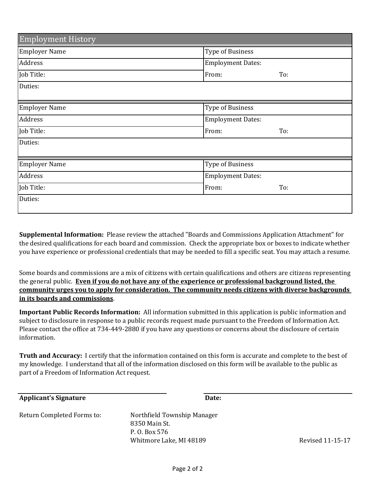| <b>Employment History</b> |                          |     |  |
|---------------------------|--------------------------|-----|--|
| Employer Name             | <b>Type of Business</b>  |     |  |
| Address                   | <b>Employment Dates:</b> |     |  |
| Job Title:                | From:                    | To: |  |
| Duties:                   |                          |     |  |
|                           |                          |     |  |
| <b>Employer Name</b>      | <b>Type of Business</b>  |     |  |
| Address                   | <b>Employment Dates:</b> |     |  |
| Job Title:                | From:                    | To: |  |
| Duties:                   |                          |     |  |
|                           |                          |     |  |
| <b>Employer Name</b>      | <b>Type of Business</b>  |     |  |
| Address                   | <b>Employment Dates:</b> |     |  |
| Job Title:                | From:                    | To: |  |
| Duties:                   |                          |     |  |

**Supplemental Information:** Please review the attached "Boards and Commissions Application Attachment" for the desired qualifications for each board and commission. Check the appropriate box or boxes to indicate whether you have experience or professional credentials that may be needed to fill a specific seat. You may attach a resume.

Some boards and commissions are a mix of citizens with certain qualifications and others are citizens representing the general public. **Even if you do not have any of the experience or professional background listed, the community urges you to apply for consideration. The community needs citizens with diverse backgrounds in its boards and commissions**.

**Important Public Records Information:** All information submitted in this application is public information and subject to disclosure in response to a public records request made pursuant to the Freedom of Information Act. Please contact the office at 734-449-2880 if you have any questions or concerns about the disclosure of certain information.

**Truth and Accuracy:** I certify that the information contained on this form is accurate and complete to the best of my knowledge. I understand that all of the information disclosed on this form will be available to the public as part of a Freedom of Information Act request.

| <b>Applicant's Signature</b> | Date:                                        |                         |
|------------------------------|----------------------------------------------|-------------------------|
| Return Completed Forms to:   | Northfield Township Manager<br>8350 Main St. |                         |
|                              | P. O. Box 576<br>Whitmore Lake, MI 48189     | <b>Revised 11-15-17</b> |